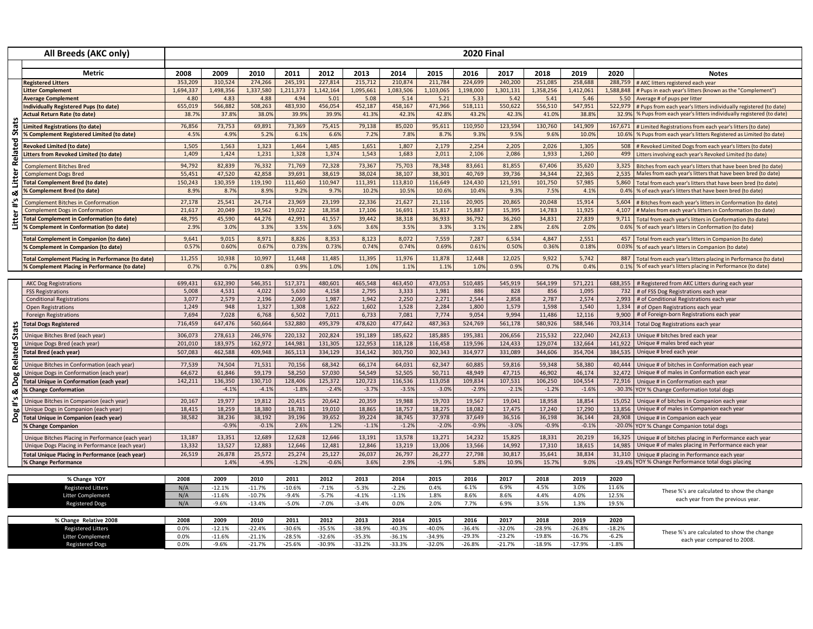| All Breeds (AKC only)                       |                                                           | <b>2020 Final</b> |                     |                      |                      |                      |                      |                      |                      |                      |                      |                      |                      |                    |                                                                                |
|---------------------------------------------|-----------------------------------------------------------|-------------------|---------------------|----------------------|----------------------|----------------------|----------------------|----------------------|----------------------|----------------------|----------------------|----------------------|----------------------|--------------------|--------------------------------------------------------------------------------|
|                                             |                                                           |                   |                     |                      |                      |                      |                      |                      |                      |                      |                      |                      |                      |                    |                                                                                |
|                                             | <b>Metric</b><br><b>Registered Litters</b>                | 2008<br>353.209   | 2009<br>310.524     | 2010<br>274,266      | 2011<br>245,191      | 2012<br>227,814      | 2013<br>215,712      | 2014<br>210.874      | 2015<br>211,784      | 2016<br>224.699      | 2017<br>240,200      | 2018<br>251.085      | 2019<br>258,688      | 2020<br>288.759    | <b>Notes</b><br># AKC litters registered each year                             |
|                                             | litter Complement                                         | 1,694,337         | 1,498,356           | 1,337,580            | 1,211,373            | 1,142,164            | 1,095,661            | 1,083,506            | 1,103,065            | 1,198,000            | 1,301,131            | 1,358,256            | 1,412,061            | 1,588,848          | # Pups in each year's litters (known as the "Complement")                      |
|                                             | <b>Average Complement</b>                                 | 4.80              | 4.83                | 4.88                 | 4.94                 | 5.01                 | 5.08                 | 5.14                 | 5.21                 | 5.33                 | 5.42                 | 5.41                 | 5.46                 | 5.50               | Average # of pups per litter                                                   |
|                                             | ndividually Registered Pups (to date)                     | 655,019           | 566,882             | 508,263              | 483,930              | 456,054              | 452,187              | 458,167              | 471,966              | 518,111              | 550,622              | 556,510              | 547,951              | 522,979            | # Pups from each year's litters individually registered (to date)              |
|                                             | <b>Actual Return Rate (to date)</b>                       | 38.7%             | 37.8%               | 38.0%                | 39.99                | 39.99                | 41.3%                | 42.39                | 42.89                | 43.2%                | 42.3%                | 41.0%                | 38.89                | 32.9%              | % Pups from each year's litters individually registered (to date)              |
| Stats                                       | <b>Limited Registrations (to date)</b>                    | 76,856            | 73,753              | 69,891               | 73,369               | 75,41                | 79,138               | 85,020               | 95,611               | 110,950              | 123,594              | 130,760              | 141,909              | 167,671            | # Limited Registrations from each year's litters (to date)                     |
|                                             | <b>6 Complement Registered Limited (to date)</b>          | 4.5%              | 4.9%                | 5.2%                 | 6.1%                 | 6.69                 | 7.2%                 | 7.89                 | 8.7%                 | 9.3%                 | 9.5%                 | 9.6%                 | 10.0%                | 10.6%              | % Pups from each year's litters Registered as Limited (to date)                |
| <b>Related</b>                              | <b>Revoked Limited (to date)</b>                          | 1,505             | 1,563               | 1,323                | 1,464                | 1,485                | 1,651                | 1,807                | 2,179                | 2,254                | 2,205                | 2,026                | 1,305                | 508                | # Revoked Limited Dogs from each year's litters (to date)                      |
|                                             | <b>Litters from Revoked Limited (to date)</b>             | 1,409             | 1,424               | 1,231                | 1,328                | 1,374                | 1,543                | 1,683                | 2,011                | 2,106                | 2,086                | 1,933                | 1,260                | 499                | Litters involving each year's Revoked Limited (to date)                        |
|                                             | <b>Complement Bitches Bred</b>                            | 94.792            | 82,839              | 76,332               | 71.769               | 72,328               | 73.367               | 75,703               | 78.348               | 83,661               | 81,855               | 67.406               | 35,620               | 3,325              | Bitches from each year's litters that have been bred (to date)                 |
| Litter                                      | <b>Complement Dogs Bred</b>                               | 55,451            | 47,520              | 42,858               | 39,691               | 38,619               | 38,024               | 38,107               | 38,301               | 40,769               | 39,736               | 34,344               | 22,365               | 2,535              | Males from each year's litters that have been bred (to date)                   |
|                                             | <b>Total Complement Bred (to date)</b>                    | 150,243           | 130,359             | 119,190              | 111,460              | 110,947              | 111,391              | 113,810              | 116,649              | 124,430              | 121,591              | 101,750              | 57,985               | 5,860              | Total from each year's litters that have been bred (to date)                   |
| ఱ<br>$\ddot{ }$ #<br>Litter                 | <b>6 Complement Bred (to date)</b>                        | 8.9%              | 8.7%                | 8.9%                 | 9.2%                 | 9.7%                 | 10.2%                | 10.59                | 10.69                | 10.4%                | 9.3%                 | 7.5%                 | 4.1%                 | 0.49               | % of each year's litters that have been bred (to date)                         |
|                                             | <b>Complement Bitches in Conformation</b>                 | 27,178            | 25,541              | 24,714               | 23,969               | 23,199               | 22,336               | 21,627               | 21,116               | 20,905               | 20,865               | 20,048               | 15,914               | 5,604              | # Bitches from each year's litters in Conformation (to date)                   |
|                                             | <b>Complement Dogs in Conformation</b>                    | 21,617            | 20,049              | 19,562               | 19,022               | 18,358               | 17,106               | 16,691               | 15,817               | 15,887               | 15,395               | 14,783               | 11,925               | 4,107              | # Males from each year's litters in Conformation (to date)                     |
|                                             | <b>Total Complement in Conformation (to date)</b>         | 48,795            | 45,590              | 44,276               | 42,991               | 41,557               | 39,442               | 38,318               | 36,933               | 36,792               | 36,260               | 34,831               | 27,839               | 9,711              | Total from each year's litters in Conformation (to date)                       |
|                                             | <b>6 Complement in Conformation (to date)</b>             | 2.9%              | 3.0%                | 3.3%                 | 3.5%                 | 3.6%                 | 3.6%                 | 3.5%                 | 3.3%                 | 3.1%                 | 2.8%                 | 2.6%                 | 2.0%                 |                    | 0.6% % of each year's litters in Conformation (to date)                        |
|                                             | <b>Total Complement in Companion (to date)</b>            | 9,641             | 9,015               | 8,971                | 8,826                | 8,353                | 8,123                | 8,072                | 7,559                | 7,287                | 6,534                | 4,847                | 2,551                | 457                | Total from each year's litters in Companion (to date)                          |
|                                             | <b>% Complement in Companion (to date)</b>                | 0.57%             | 0.60%               | 0.67%                | 0.73%                | 0.739                | 0.74%                | 0.74%                | 0.699                | 0.61%                | 0.50%                | 0.36%                | 0.18%                | 0.03%              | % of each year's litters in Companion (to date)                                |
|                                             | <b>Total Complement Placing in Performance (to date)</b>  | 11,255            | 10,938              | 10,997               | 11,448               | 11,485               | 11,395               | 11,976               | 11,878               | 12,448               | 12,025               | 9,922                | 5,742                | 887                | Total from each year's litters placing in Performance (to date)                |
|                                             | 6 Complement Placing in Performance (to date)             | 0.7%              | 0.7%                | 0.8%                 | 0.9%                 | 1.0%                 | 1.0%                 | 1.19                 | 1.1%                 | 1.0%                 | 0.9%                 | 0.7%                 | 0.4%                 |                    | 0.1% % of each year's litters placing in Performance (to date)                 |
|                                             |                                                           |                   |                     |                      |                      |                      |                      |                      |                      |                      |                      |                      |                      |                    |                                                                                |
|                                             | <b>AKC Dog Registrations</b>                              | 699,431           | 632,390             | 546,351              | 517,371              | 480,601              | 465,548              | 463,450              | 473,053              | 510,485              | 545,919              | 564,199              | 571,221              |                    | 688,355 # Registered from AKC Litters during each year                         |
|                                             | <b>FSS Registrations</b>                                  | 5,008             | 4,531               | 4,022                | 5,630                | 4,158                | 2,795                | 3,333                | 1,981                | 886                  | 828                  | 856                  | 1,095                | 732                | # of FSS Dog Registrations each year                                           |
|                                             | <b>Conditional Registrations</b>                          | 3,077             | 2,579               | 2,196                | 2,069                | 1,987                | 1.942                | 2,250                | 2,271                | 2,544                | 2,858                | 2,787                | 2,574                | 2.993              | # of Conditional Registrations each year                                       |
| Stats                                       | <b>Open Registrations</b><br><b>Foreign Registrations</b> | 1,249<br>7.694    | 948<br>7,028        | 1,327<br>6,768       | 1,308<br>6.502       | 1,622<br>7,011       | 1,602<br>6,733       | 1,528<br>7.081       | 2,284<br>7,774       | 1,800<br>9.054       | 1,579<br>9.994       | 1,598<br>11.486      | 1,540<br>12,116      | 1,334<br>9,900     | # of Open Registrations each year<br># of Foreign-born Registrations each year |
|                                             | <b>Total Dogs Registered</b>                              | 716,459           | 647,476             | 560,664              | 532,880              | 495,379              | 478,620              | 477,642              | 487,363              | 524,769              | 561,178              | 580,926              | 588,546              | 703,314            | Total Dog Registrations each year                                              |
|                                             |                                                           |                   |                     |                      |                      |                      |                      |                      |                      |                      |                      |                      |                      |                    |                                                                                |
|                                             | Unique Bitches Bred (each year)                           | 306,073           | 278,613             | 246.976              | 220.132              | 202,824              | 191,189              | 185,622<br>118.128   | 185,885              | 195,381              | 206,656              | 215,532              | 222,040              | 242,613<br>141.922 | Unique # bitches bred each year<br>Unique # males bred each year               |
|                                             | Unique Dogs Bred (each year)                              | 201,010           | 183,975             | 162,972              | 144,981              | 131,305              | 122,953              |                      | 116,458              | 119,596              | 124,433              | 129,074<br>344,606   | 132,664              | 384,535            | Unique # bred each year                                                        |
| Related<br>Dog<br>య<br>ە.<br>1<br>Dog       | Total Bred (each year)                                    | 507,083           | 462,588             | 409,948              | 365,113              | 334,129              | 314,142              | 303,750              | 302,343              | 314,977              | 331,089              |                      | 354,704              |                    |                                                                                |
|                                             | Unique Bitches in Conformation (each year)                | 77,539            | 74,504              | 71,531               | 70,156               | 68,342               | 66,174               | 64,031               | 62,347               | 60,885               | 59,816               | 59,348               | 58,380               | 40,444             | Unique # of bitches in Conformation each year                                  |
|                                             | Unique Dogs in Conformation (each year)                   | 64,672            | 61,846              | 59,179               | 58,250               | 57,030               | 54,549               | 52,505               | 50,711               | 48,949               | 47,715               | 46,902               | 46,174               | 32,472             | Unique # of males in Conformation each year                                    |
|                                             | <b>Total Unique in Conformation (each year)</b>           | 142,211           | 136,350             | 130,710              | 128,406              | 125,372              | 120,723              | 116,536              | 113,058              | 109,834              | 107,531              | 106,250              | 104,554              | 72,916             | Unique # in Conformation each year                                             |
|                                             | % Change Conformation                                     |                   | $-4.1%$             | $-4.1%$              | $-1.89$              | $-2.4%$              | $-3.7%$              | $-3.59$              | $-3.09$              | $-2.9%$              | $-2.19$              | $-1.2%$              | $-1.69$              | $-30.39$           | YOY % Change Conformation total dogs                                           |
|                                             | Unique Bitches in Companion (each year)                   | 20,167            | 19,977              | 19,812               | 20,415               | 20,642               | 20,359               | 19,988               | 19,703               | 19,567               | 19,041               | 18,958               | 18,854               | 15,052             | Unique # of bitches in Companion each year                                     |
|                                             | Unique Dogs in Companion (each year)                      | 18,415            | 18,259              | 18.380               | 18,781               | 19,010               | 18,865               | 18.757               | 18,275               | 18,082               | 17,475               | 17,240               | 17,290               | 13.856             | Unique # of males in Companion each year                                       |
|                                             | Total Unique in Companion (each year)                     | 38.582            | 38,236              | 38,192               | 39.196               | 39,652               | 39.224               | 38.745               | 37,978               | 37,649               | 36,516               | 36,198               | 36,144               | 28,908             | Unique # in Companion each year                                                |
|                                             | <b>6 Change Companion</b>                                 |                   | $-0.9%$             | $-0.1%$              | 2.6%                 | 1.2%                 | $-1.1%$              | $-1.29$              | $-2.09$              | $-0.9%$              | $-3.0%$              | $-0.9%$              | $-0.19$              | $-20.0%$           | YOY % Change Companion total dogs                                              |
|                                             | Unique Bitches Placing in Performance (each year)         | 13,187            | 13,351              | 12,689               | 12,628               | 12,646               | 13,191               | 13,578               | 13,271               | 14,232               | 15,825               | 18,331               | 20,219               | 16,325             | Unique # of bitches placing in Performance each year                           |
|                                             | Unique Dogs Placing in Performance (each year)            | 13,332            | 13,527              | 12,883               | 12,646               | 12,481               | 12,846               | 13,219               | 13,006               | 13,566               | 14,992               | 17,310               | 18,615               | 14.985             | Unique # of males placing in Performance each year                             |
|                                             | Total Unique Placing in Performance (each year)           | 26,519            | 26,878              | 25,572               | 25,274               | 25,127               | 26,037               | 26,797               | 26,277               | 27,798               | 30,817               | 35,641               | 38,834               |                    | 31,310 Unique # placing in Performance each year                               |
|                                             | % Change Performance                                      |                   | 1.4%                | $-4.9%$              | $-1.29$              | $-0.69$              | 3.6%                 | 2.9%                 | $-1.99$              | 5.8%                 | 10.9%                | 15.7%                | 9.0%                 |                    | -19.4% YOY % Change Performance total dogs placing                             |
| % Change YOY                                |                                                           | 2008              | 2009                | 2010                 | 2011                 | 2012                 | 2013                 | 2014                 | 2015                 | 2016                 | 2017                 | 2018                 | 2019                 | 2020               |                                                                                |
|                                             | <b>Registered Litters</b>                                 | N/A               | $-12.1%$            | $-11.7%$             | $-10.6%$             | $-7.1%$              | $-5.3%$              | $-2.2%$              | 0.4%                 | 6.1%                 | 6.9%                 | 4.5%                 | 3.0%                 | 11.6%              |                                                                                |
|                                             | <b>Litter Complement</b>                                  | N/A               | $-11.6%$            | $-10.7%$             | $-9.4%$              | $-5.7%$              | $-4.1%$              | $-1.1%$              | 1.8%                 | 8.6%                 | 8.6%                 | 4.4%                 | 4.0%                 | 12.5%              | These %'s are calculated to show the change                                    |
|                                             | <b>Registered Dogs</b>                                    | N/A               | $-9.6%$             | $-13.4%$             | $-5.0%$              | $-7.0%$              | $-3.4%$              | 0.0%                 | 2.0%                 | 7.7%                 | 6.9%                 | 3.5%                 | 1.3%                 | 19.5%              | each year from the previous year.                                              |
|                                             |                                                           |                   |                     |                      |                      |                      |                      |                      |                      |                      |                      |                      |                      |                    |                                                                                |
| % Change Relative 2008                      |                                                           | 2008              | 2009                | 2010                 | 2011                 | 2012                 | 2013                 | 2014                 | 2015                 | 2016                 | 2017                 | 2018                 | 2019                 | 2020               |                                                                                |
| <b>Registered Litters</b>                   |                                                           | 0.0%              | $-12.1%$            | $-22.4%$             | $-30.6%$             | $-35.5%$             | $-38.9%$             | $-40.3%$             | $-40.0%$             | $-36.4%$             | $-32.0%$             | $-28.9%$             | $-26.8%$             | $-18.2%$           | These %'s are calculated to show the change                                    |
| Litter Complement<br><b>Registered Dogs</b> |                                                           | 0.0%<br>0.0%      | $-11.6%$<br>$-9.6%$ | $-21.1%$<br>$-21.7%$ | $-28.5%$<br>$-25.6%$ | $-32.6%$<br>$-30.9%$ | $-35.3%$<br>$-33.2%$ | $-36.1%$<br>$-33.3%$ | $-34.9%$<br>$-32.0%$ | $-29.3%$<br>$-26.8%$ | $-23.2%$<br>$-21.7%$ | $-19.8%$<br>$-18.9%$ | $-16.7%$<br>$-17.9%$ | $-6.2%$<br>$-1.8%$ | each year compared to 2008.                                                    |
|                                             |                                                           |                   |                     |                      |                      |                      |                      |                      |                      |                      |                      |                      |                      |                    |                                                                                |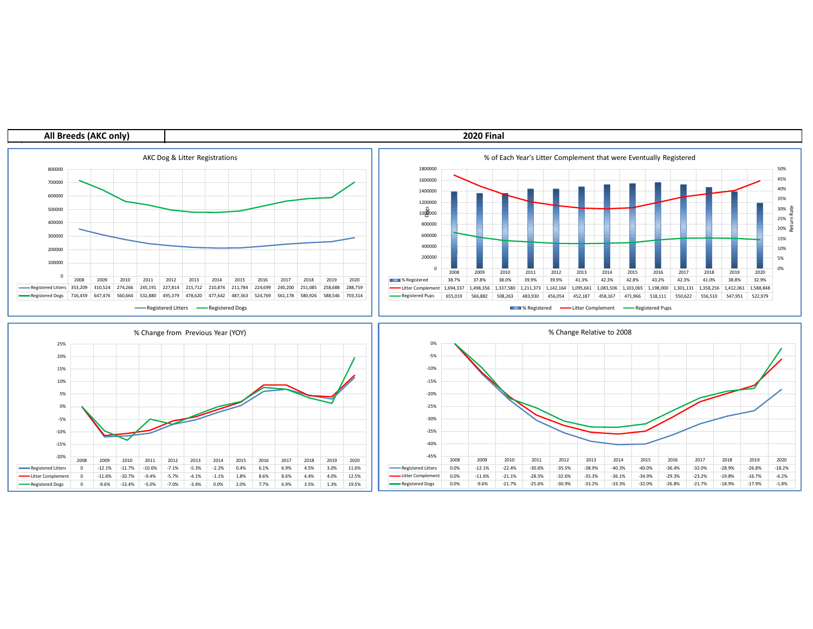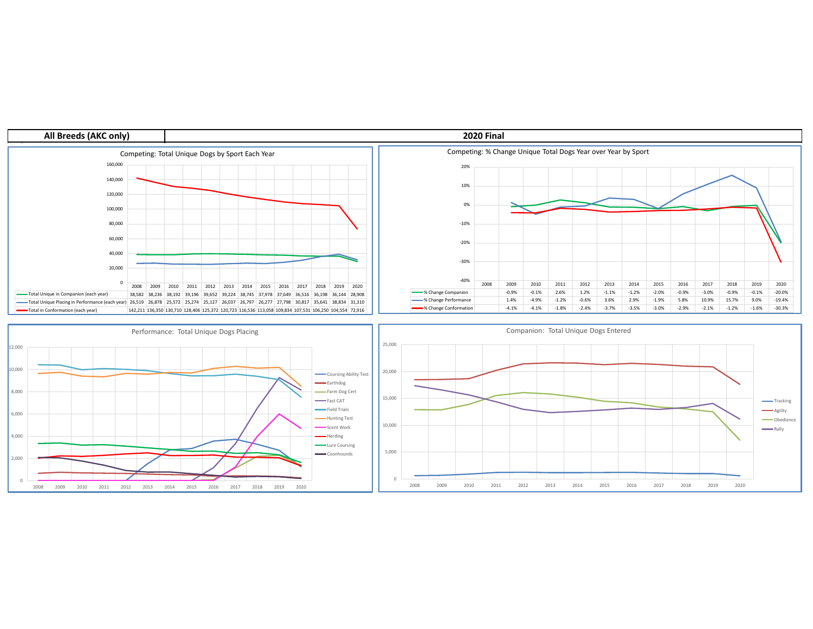